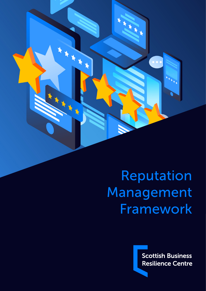

# Reputation Management Framework

**Scottish Business Resilience Centre**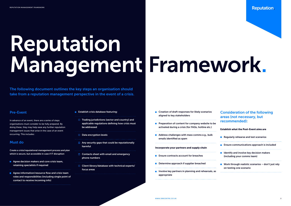The following document outlines the key steps an organisation should take from a reputation management perspective in the event of a crisis.

# Reputation Management Framework.



# Pre-Event

In advance of an event, there are a series of steps organisations must consider to be fully prepared. By doing these, they may help ease any further reputation management issues that arise in the case of an event occurring. This includes:

- **Agree decision makers and core crisis team,** retaining specialists if required
- **Agree information/resource flow and crisis team** roles and responsibilities (including single point of contact to receive incoming info)

# Must do

Create a crisis/reputational management process and plan which is secure, but accessible in case if IT disruption

- **Establish crisis database featuring:**
- $\Box$  Trading jurisdictions (sector and country) and applicable regulations defining how crisis must be addressed
- $\Box$  Data encryption levels
- $\Box$  Any security gaps that could be reputationally harmful
- $\Box$  Contacts sheet with email and emergency phone numbers
- $\Box$  Client library/database with technical experts/ focus areas

- Creation of draft responses for likely scenarios aligned to key stakeholders
- **Preparation of content for company website to be** activated during a crisis (for FAQs, hotline etc.)
- **Address challenges with mass comms e.g., bulk** emails identified as spam

- **Ensure contracts account for breaches**
- Determine approach if supplier breached
- **Involve key partners in planning and rehearsals, as** appropriate
- **Regularly rehearse and test scenarios**
- **Ensure communications approach is included**
- $\blacksquare$  Identify and involve key decision makers (including your comms team)
- **Nork through realistic scenarios don't just rely** on testing one scenario

#### Incorporate your partners and supply chain

# Consideration of the following areas (not necessary, but recommended):

#### Establish what the Post-Event aims are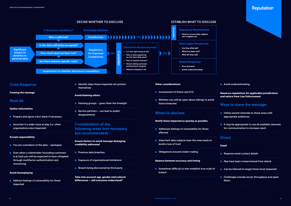

#### **Avoid underestimating**

- **Utilise owned channels to share news with** appropriate audiences
- $\blacksquare$  It may be appropriate to use all available channels for communication to increase reach

## **Direct**



Based on regulations for applicable jurisdictions and advice from Law Enforcement

# Ways to share the message

#### Email

| Requires email contact details                           |
|----------------------------------------------------------|
| May have been compromised from attack                    |
| Can be tailored to target those most impacted            |
| Challenges include server throughput and spam<br>filters |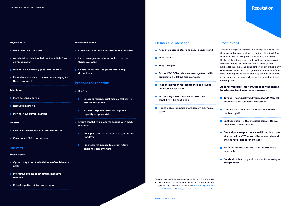# Reputation.

#### Physical Mail

- **More direct and personal**
- **Avoids risk of phishing, but not immediate form of** communication
- May not have correct (up-to-date) address
- **EXPENSIVE and may also be seen as damaging to** the environment

#### Telephone

- **More personal / caring**
- **Resource intensive**
- May not have current number
- Website
- $\blacksquare$  Less direct data subjects need to visit site
- Can contain FAQs, hotline nos.
- Often main source of information for customers
- $\blacksquare$  Have own agenda and may not focus on the things you want
- Consider list of trusted journalists to help disseminate

#### Indirect

#### Social Media

- **Opportunity to set the initial tone of social media** posts
- Interactive so able to set straight negative rumours
- Risk of negative reinforcement spiral
- **Brief staff** 
	- **Ensure sufficient social media / call centre** resources available
	- $\Box$  Scale up response website and phone capacity as appropriate
- **Ensure capability in place for dealing with media** enquiries
- $\Box$  Anticipate drop in share price or sales for first few days
- $\Box$  Put measures in place to disrupt future phishing/scam attempts

#### Traditional Media

- $\blacksquare$  Keep the message clear and easy to understand
- **Avoid jargon**
- $\blacksquare$  Keep it simple
- **Ensure CEO / Chair delivers message to establish** organisation is taking crisis seriously
- $\blacksquare$  Reconfirm breach represents crisis to prevent unnecessary escalation
- **In choosing spokesperson consider their** capability in front of media
- **Honed policy for media management e.g. no call** backs

### Prepare for reaction

# Deliver the message

- $\blacksquare$  Timing how quickly did you respond? Were all internal and stakeholders addressed?
- Content was this accurate? Was the tone of content right?
- **Spokesperson** is this the right person? Do you need more spokespeople?
- General process/plan review  $-$  did the plan cover all eventualities? What were the gaps, and could they be reclarified for the future?
- **Right the culture restore trust internally and** externally
- $\blacksquare$  Build a drumbeat of good news, while focusing on mitigating risk

# Post-event

After an event (or an exercise), it is as important to review the aspects that went well and those that did not to inform the future plan. In doing this post-mortem, it is vital that the key stakeholders clearly address these successes and failures in a pragmatic fashion. Should the organisation have failed in some areas, consider bringing in a third-party organisation to support the organisation in the future (and have them appointed and on stand-by should a crisis arise in the future) or by ensuring training is arranged for those who require it.

#### As part of this post-mortem, the following should be addressed and adapted as necessary

This document references guidance from Richard Knight and Jason R.C. Nurse, "Effective Communications and Public Relations after a Cyber Security Incident" available from [https://doi.org/10.1016/j.](https://doi.org/10.1016/j.cose.2020.102036) [cose.2020.102036](https://doi.org/10.1016/j.cose.2020.102036) and [https://jasonnurse.github.io/comms.pdf](https://doi.org/10.1016/j.cose.2020.102036)